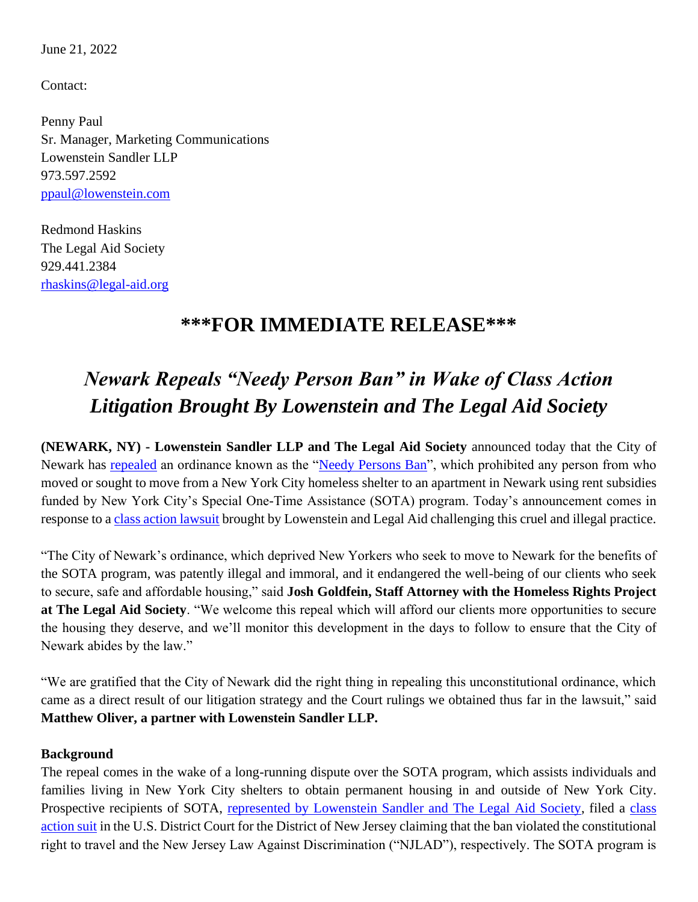June 21, 2022

Contact:

Penny Paul Sr. Manager, Marketing Communications Lowenstein Sandler LLP 973.597.2592 [ppaul@lowenstein.com](mailto:%20ppaul@lowenstein.com)

Redmond Haskins The Legal Aid Society 929.441.2384 [rhaskins@legal-aid.org](mailto:rhaskins@legal-aid.org)

## **\*\*\*FOR IMMEDIATE RELEASE\*\*\***

## *Newark Repeals "Needy Person Ban" in Wake of Class Action Litigation Brought By Lowenstein and The Legal Aid Society*

**(NEWARK, NY) - Lowenstein Sandler LLP and The Legal Aid Society** announced today that the City of Newark has [repealed](https://citylimits.org/2022/04/22/newark-council-votes-to-strike-controversial-law-banning-homeless-families-with-nyc-rent-subsidies/) an ordinance known as the ["Needy Persons Ban"](https://www.nytimes.com/2021/12/14/nyregion/newark-prohibiting-feeding-homeless.html), which prohibited any person from who moved or sought to move from a New York City homeless shelter to an apartment in Newark using rent subsidies funded by New York City's Special One-Time Assistance (SOTA) program. Today's announcement comes in response to a [class action lawsuit](https://legalaidnyc.org/wp-content/uploads/2020/11/Legal-Aid-Lowenstein-Sandler-LLP-File-Federal-Class-Action-Lawsuit-to-Require-the-City-of-Newark-to-Accept-NYC-Special-One-Time-Assistance-SOTA-Program-From-Homeless-New-Yorkers-Seeking-Housing-1.pdf) brought by Lowenstein and Legal Aid challenging this cruel and illegal practice.

"The City of Newark's ordinance, which deprived New Yorkers who seek to move to Newark for the benefits of the SOTA program, was patently illegal and immoral, and it endangered the well-being of our clients who seek to secure, safe and affordable housing," said **Josh Goldfein, Staff Attorney with the Homeless Rights Project at The Legal Aid Society**. "We welcome this repeal which will afford our clients more opportunities to secure the housing they deserve, and we'll monitor this development in the days to follow to ensure that the City of Newark abides by the law."

"We are gratified that the City of Newark did the right thing in repealing this unconstitutional ordinance, which came as a direct result of our litigation strategy and the Court rulings we obtained thus far in the lawsuit," said **Matthew Oliver, a partner with Lowenstein Sandler LLP.**

## **Background**

The repeal comes in the wake of a long-running dispute over the SOTA program, which assists individuals and families living in New York City shelters to obtain permanent housing in and outside of New York City. Prospective recipients of SOTA, [represented by Lowenstein Sandler and The Legal Aid Society,](https://www.lowenstein.com/news-insights/firm-news/the-legal-aid-society-and-lowenstein-sandler-win-petition-to-intervene-on-behalf-of-homeless-new-yorkers-oliver-ryan-cocuzza) filed a [class](https://legalaidnyc.org/wp-content/uploads/2020/11/11.12.2020-Intervenor-Complaint-on-behalf-of-Class-of-Affected-Tenants.pdf)  [action suit](https://legalaidnyc.org/wp-content/uploads/2020/11/11.12.2020-Intervenor-Complaint-on-behalf-of-Class-of-Affected-Tenants.pdf) in the U.S. District Court for the District of New Jersey claiming that the ban violated the constitutional right to travel and the New Jersey Law Against Discrimination ("NJLAD"), respectively. The SOTA program is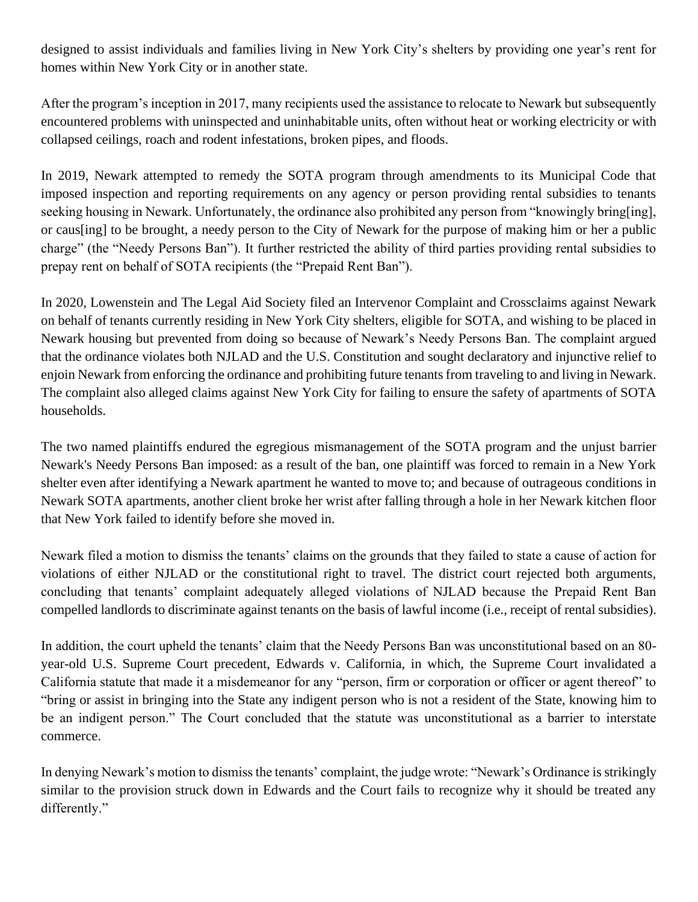designed to assist individuals and families living in New York City's shelters by providing one year's rent for homes within New York City or in another state.

After the program's inception in 2017, many recipients used the assistance to relocate to Newark but subsequently encountered problems with uninspected and uninhabitable units, often without heat or working electricity or with collapsed ceilings, roach and rodent infestations, broken pipes, and floods.

In 2019, Newark attempted to remedy the SOTA program through amendments to its Municipal Code that imposed inspection and reporting requirements on any agency or person providing rental subsidies to tenants seeking housing in Newark. Unfortunately, the ordinance also prohibited any person from "knowingly bring[ing], or caus[ing] to be brought, a needy person to the City of Newark for the purpose of making him or her a public charge" (the "Needy Persons Ban"). It further restricted the ability of third parties providing rental subsidies to prepay rent on behalf of SOTA recipients (the "Prepaid Rent Ban").

In 2020, Lowenstein and The Legal Aid Society filed an Intervenor Complaint and Crossclaims against Newark on behalf of tenants currently residing in New York City shelters, eligible for SOTA, and wishing to be placed in Newark housing but prevented from doing so because of Newark's Needy Persons Ban. The complaint argued that the ordinance violates both NJLAD and the U.S. Constitution and sought declaratory and injunctive relief to enjoin Newark from enforcing the ordinance and prohibiting future tenants from traveling to and living in Newark. The complaint also alleged claims against New York City for failing to ensure the safety of apartments of SOTA households.

The two named plaintiffs endured the egregious mismanagement of the SOTA program and the unjust barrier Newark's Needy Persons Ban imposed: as a result of the ban, one plaintiff was forced to remain in a New York shelter even after identifying a Newark apartment he wanted to move to; and because of outrageous conditions in Newark SOTA apartments, another client broke her wrist after falling through a hole in her Newark kitchen floor that New York failed to identify before she moved in.

Newark filed a motion to dismiss the tenants' claims on the grounds that they failed to state a cause of action for violations of either NJLAD or the constitutional right to travel. The district court rejected both arguments, concluding that tenants' complaint adequately alleged violations of NJLAD because the Prepaid Rent Ban compelled landlords to discriminate against tenants on the basis of lawful income (i.e., receipt of rental subsidies).

In addition, the court upheld the tenants' claim that the Needy Persons Ban was unconstitutional based on an 80 year-old U.S. Supreme Court precedent, Edwards v. California, in which, the Supreme Court invalidated a California statute that made it a misdemeanor for any "person, firm or corporation or officer or agent thereof" to "bring or assist in bringing into the State any indigent person who is not a resident of the State, knowing him to be an indigent person." The Court concluded that the statute was unconstitutional as a barrier to interstate commerce.

In denying Newark's motion to dismiss the tenants' complaint, the judge wrote: "Newark's Ordinance is strikingly similar to the provision struck down in Edwards and the Court fails to recognize why it should be treated any differently."